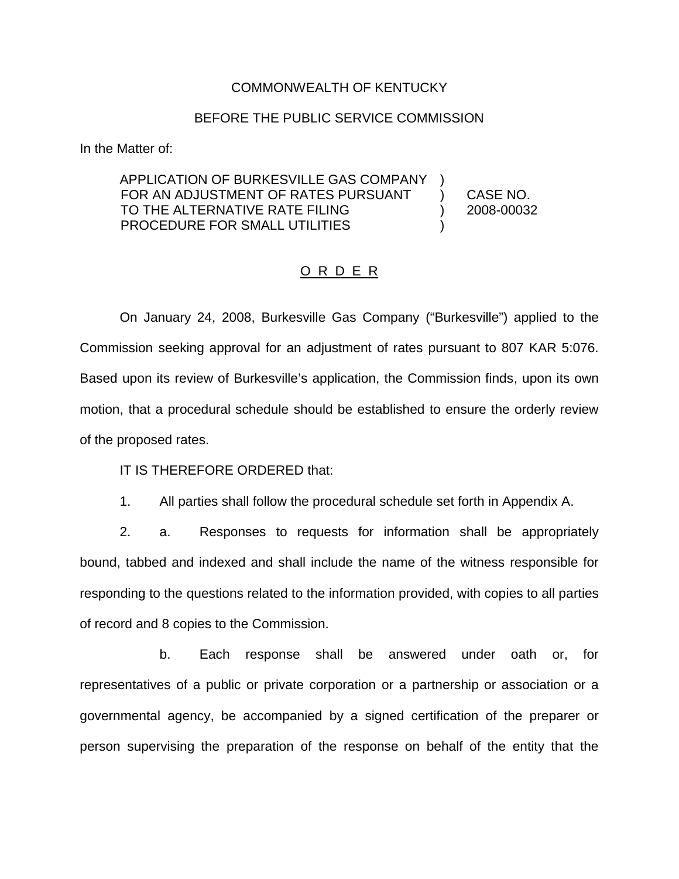#### COMMONWEALTH OF KENTUCKY

#### BEFORE THE PUBLIC SERVICE COMMISSION

In the Matter of:

#### APPLICATION OF BURKESVILLE GAS COMPANY FOR AN ADJUSTMENT OF RATES PURSUANT TO THE ALTERNATIVE RATE FILING PROCEDURE FOR SMALL UTILITIES ) )

) CASE NO. ) 2008-00032

### O R D E R

On January 24, 2008, Burkesville Gas Company ("Burkesville") applied to the Commission seeking approval for an adjustment of rates pursuant to 807 KAR 5:076. Based upon its review of Burkesville's application, the Commission finds, upon its own motion, that a procedural schedule should be established to ensure the orderly review of the proposed rates.

IT IS THEREFORE ORDERED that:

1. All parties shall follow the procedural schedule set forth in Appendix A.

2. a. Responses to requests for information shall be appropriately bound, tabbed and indexed and shall include the name of the witness responsible for responding to the questions related to the information provided, with copies to all parties of record and 8 copies to the Commission.

b. Each response shall be answered under oath or, for representatives of a public or private corporation or a partnership or association or a governmental agency, be accompanied by a signed certification of the preparer or person supervising the preparation of the response on behalf of the entity that the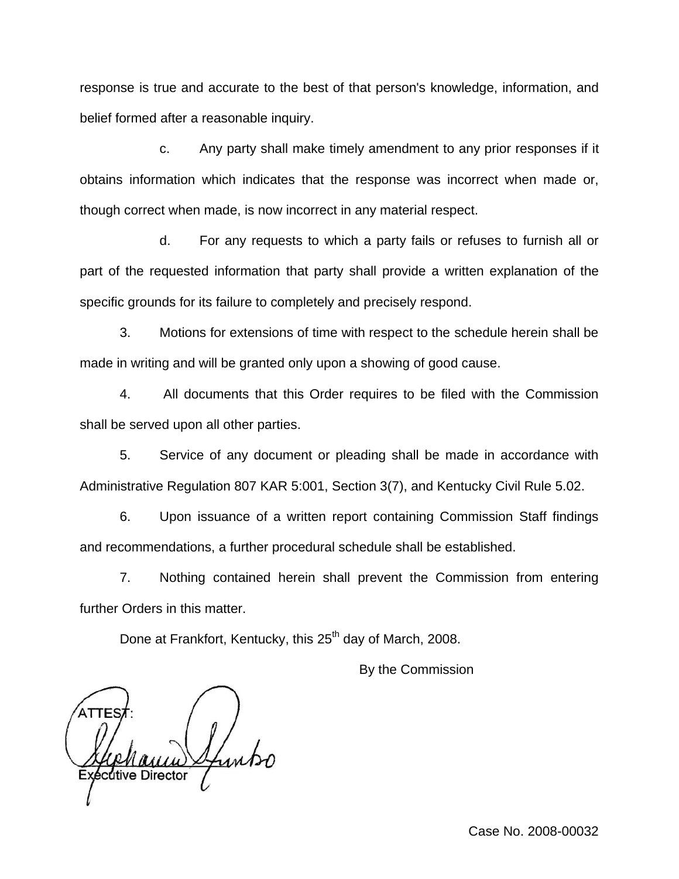response is true and accurate to the best of that person's knowledge, information, and belief formed after a reasonable inquiry.

c. Any party shall make timely amendment to any prior responses if it obtains information which indicates that the response was incorrect when made or, though correct when made, is now incorrect in any material respect.

d. For any requests to which a party fails or refuses to furnish all or part of the requested information that party shall provide a written explanation of the specific grounds for its failure to completely and precisely respond.

3. Motions for extensions of time with respect to the schedule herein shall be made in writing and will be granted only upon a showing of good cause.

4. All documents that this Order requires to be filed with the Commission shall be served upon all other parties.

5. Service of any document or pleading shall be made in accordance with Administrative Regulation 807 KAR 5:001, Section 3(7), and Kentucky Civil Rule 5.02.

6. Upon issuance of a written report containing Commission Staff findings and recommendations, a further procedural schedule shall be established.

7. Nothing contained herein shall prevent the Commission from entering further Orders in this matter.

Done at Frankfort, Kentucky, this 25<sup>th</sup> day of March, 2008.

By the Commission

écutive Director

Case No. 2008-00032